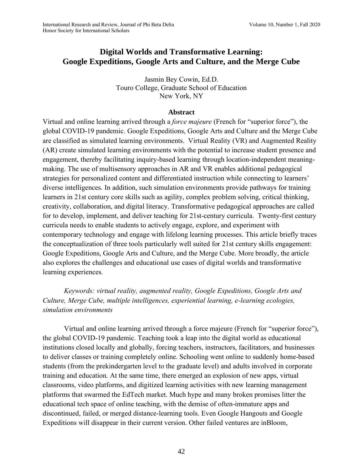# **Digital Worlds and Transformative Learning: Google Expeditions, Google Arts and Culture, and the Merge Cube**

Jasmin Bey Cowin, Ed.D. Touro College, Graduate School of Education New York, NY

### **Abstract**

Virtual and online learning arrived through a *force majeure* (French for "superior force"), the global COVID-19 pandemic. Google Expeditions, Google Arts and Culture and the Merge Cube are classified as simulated learning environments. Virtual Reality (VR) and Augmented Reality (AR) create simulated learning environments with the potential to increase student presence and engagement, thereby facilitating inquiry-based learning through location-independent meaningmaking. The use of multisensory approaches in AR and VR enables additional pedagogical strategies for personalized content and differentiated instruction while connecting to learners' diverse intelligences. In addition, such simulation environments provide pathways for training learners in 21st century core skills such as agility, complex problem solving, critical thinking, creativity, collaboration, and digital literacy. Transformative pedagogical approaches are called for to develop, implement, and deliver teaching for 21st-century curricula. Twenty-first century curricula needs to enable students to actively engage, explore, and experiment with contemporary technology and engage with lifelong learning processes. This article briefly traces the conceptualization of three tools particularly well suited for 21st century skills engagement: Google Expeditions, Google Arts and Culture, and the Merge Cube. More broadly, the article also explores the challenges and educational use cases of digital worlds and transformative learning experiences.

*Keywords: virtual reality, augmented reality, Google Expeditions, Google Arts and Culture, Merge Cube, multiple intelligences, experiential learning, e-learning ecologies, simulation environments*

Virtual and online learning arrived through a force majeure (French for "superior force"), the global COVID-19 pandemic. Teaching took a leap into the digital world as educational institutions closed locally and globally, forcing teachers, instructors, facilitators, and businesses to deliver classes or training completely online. Schooling went online to suddenly home-based students (from the prekindergarten level to the graduate level) and adults involved in corporate training and education. At the same time, there emerged an explosion of new apps, virtual classrooms, video platforms, and digitized learning activities with new learning management platforms that swarmed the EdTech market. Much hype and many broken promises litter the educational tech space of online teaching, with the demise of often-immature apps and discontinued, failed, or merged distance-learning tools. Even Google Hangouts and Google Expeditions will disappear in their current version. Other failed ventures are inBloom,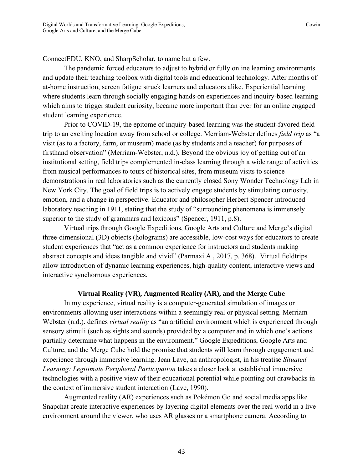ConnectEDU, KNO, and SharpScholar, to name but a few.

The pandemic forced educators to adjust to hybrid or fully online learning environments and update their teaching toolbox with digital tools and educational technology. After months of at-home instruction, screen fatigue struck learners and educators alike. Experiential learning where students learn through socially engaging hands-on experiences and inquiry-based learning which aims to trigger student curiosity, became more important than ever for an online engaged student learning experience.

Prior to COVID-19, the epitome of inquiry-based learning was the student-favored field trip to an exciting location away from school or college. Merriam-Webster defines *field trip* as "a visit (as to a factory, farm, or museum) made (as by students and a teacher) for purposes of firsthand observation" (Merriam-Webster, n.d.). Beyond the obvious joy of getting out of an institutional setting, field trips complemented in-class learning through a wide range of activities from musical performances to tours of historical sites, from museum visits to science demonstrations in real laboratories such as the currently closed Sony Wonder Technology Lab in New York City. The goal of field trips is to actively engage students by stimulating curiosity, emotion, and a change in perspective. Educator and philosopher Herbert Spencer introduced laboratory teaching in 1911, stating that the study of "surrounding phenomena is immensely superior to the study of grammars and lexicons" (Spencer, 1911, p.8).

Virtual trips through Google Expeditions, Google Arts and Culture and Merge's digital three-dimensional (3D) objects (holograms) are accessible, low-cost ways for educators to create student experiences that "act as a common experience for instructors and students making abstract concepts and ideas tangible and vivid" (Parmaxi A., 2017, p. 368). Virtual fieldtrips allow introduction of dynamic learning experiences, high-quality content, interactive views and interactive synchornous experiences.

### **Virtual Reality (VR), Augmented Reality (AR), and the Merge Cube**

In my experience, virtual reality is a computer-generated simulation of images or environments allowing user interactions within a seemingly real or physical setting. Merriam-Webster (n.d.). defines *virtual reality* as "an artificial environment which is experienced through sensory stimuli (such as sights and sounds) provided by a computer and in which one's actions partially determine what happens in the environment." Google Expeditions, Google Arts and Culture, and the Merge Cube hold the promise that students will learn through engagement and experience through immersive learning. Jean Lave, an anthropologist, in his treatise *Situated Learning: Legitimate Peripheral Participation* takes a closer look at established immersive technologies with a positive view of their educational potential while pointing out drawbacks in the context of immersive student interaction (Lave, 1990).

Augmented reality (AR) experiences such as Pokémon Go and social media apps like Snapchat create interactive experiences by layering digital elements over the real world in a live environment around the viewer, who uses AR glasses or a smartphone camera. According to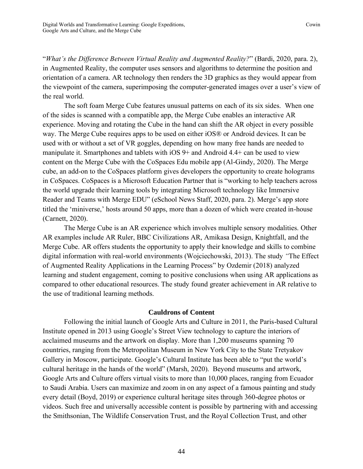"*What's the Difference Between Virtual Reality and Augmented Reality?*" (Bardi, 2020, para. 2), in Augmented Reality, the computer uses sensors and algorithms to determine the position and orientation of a camera. AR technology then renders the 3D graphics as they would appear from the viewpoint of the camera, superimposing the computer-generated images over a user's view of the real world.

The soft foam Merge Cube features unusual patterns on each of its six sides. When one of the sides is scanned with a compatible app, the Merge Cube enables an interactive AR experience. Moving and rotating the Cube in the hand can shift the AR object in every possible way. The Merge Cube requires apps to be used on either iOS® or Android devices. It can be used with or without a set of VR goggles, depending on how many free hands are needed to manipulate it. Smartphones and tablets with iOS 9+ and Android 4.4+ can be used to view content on the Merge Cube with the CoSpaces Edu mobile app (Al-Gindy, 2020). The Merge cube, an add-on to the CoSpaces platform gives developers the opportunity to create holograms in CoSpaces. CoSpaces is a Microsoft Education Partner that is "working to help teachers across the world upgrade their learning tools by integrating Microsoft technology like Immersive Reader and Teams with Merge EDU" (eSchool News Staff, 2020, para. 2). Merge's app store titled the 'miniverse,' hosts around 50 apps, more than a dozen of which were created in-house (Carnett, 2020).

The Merge Cube is an AR experience which involves multiple sensory modalities. Other AR examples include AR Ruler, BBC Civilizations AR, Amikasa Design, Knightfall, and the Merge Cube. AR offers students the opportunity to apply their knowledge and skills to combine digital information with real-world environments (Wojciechowski, 2013). The study *"*The Effect of Augmented Reality Applications in the Learning Process" by Ozdemir (2018) analyzed learning and student engagement, coming to positive conclusions when using AR applications as compared to other educational resources. The study found greater achievement in AR relative to the use of traditional learning methods.

### **Cauldrons of Content**

Following the initial launch of Google Arts and Culture in 2011, the Paris-based Cultural Institute opened in 2013 using Google's Street View technology to capture the interiors of acclaimed museums and the artwork on display. More than 1,200 museums spanning 70 countries, ranging from the Metropolitan Museum in New York City to the State Tretyakov Gallery in Moscow, participate. Google's Cultural Institute has been able to "put the world's cultural heritage in the hands of the world" (Marsh, 2020). Beyond museums and artwork, Google Arts and Culture offers virtual visits to more than 10,000 places, ranging from Ecuador to Saudi Arabia. Users can maximize and zoom in on any aspect of a famous painting and study every detail (Boyd, 2019) or experience cultural heritage sites through 360-degree photos or videos. Such free and universally accessible content is possible by partnering with and accessing the Smithsonian, The Wildlife Conservation Trust, and the Royal Collection Trust, and other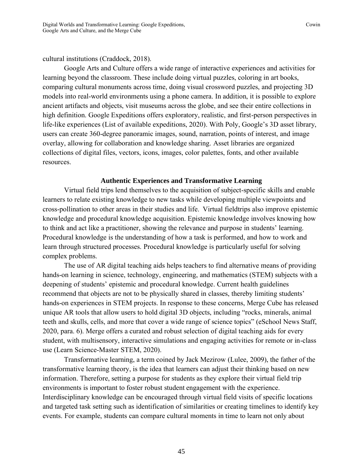## cultural institutions (Craddock, 2018).

Google Arts and Culture offers a wide range of interactive experiences and activities for learning beyond the classroom. These include doing virtual puzzles, coloring in art books, comparing cultural monuments across time, doing visual crossword puzzles, and projecting 3D models into real-world environments using a phone camera. In addition, it is possible to explore ancient artifacts and objects, visit museums across the globe, and see their entire collections in high definition. Google Expeditions offers exploratory, realistic, and first-person perspectives in life-like experiences (List of available expeditions, 2020). With Poly, Google's 3D asset library, users can create 360-degree panoramic images, sound, narration, points of interest, and image overlay, allowing for collaboration and knowledge sharing. Asset libraries are organized collections of digital files, vectors, icons, images, color palettes, fonts, and other available resources.

# **Authentic Experiences and Transformative Learning**

Virtual field trips lend themselves to the acquisition of subject-specific skills and enable learners to relate existing knowledge to new tasks while developing multiple viewpoints and cross-pollination to other areas in their studies and life. Virtual fieldtrips also improve epistemic knowledge and procedural knowledge acquisition. Epistemic knowledge involves knowing how to think and act like a practitioner, showing the relevance and purpose in students' learning. Procedural knowledge is the understanding of how a task is performed, and how to work and learn through structured processes. Procedural knowledge is particularly useful for solving complex problems.

The use of AR digital teaching aids helps teachers to find alternative means of providing hands-on learning in science, technology, engineering, and mathematics (STEM) subjects with a deepening of students' epistemic and procedural knowledge. Current health guidelines recommend that objects are not to be physically shared in classes, thereby limiting students' hands-on experiences in STEM projects. In response to these concerns, Merge Cube has released unique AR tools that allow users to hold digital 3D objects, including "rocks, minerals, animal teeth and skulls, cells, and more that cover a wide range of science topics" (eSchool News Staff, 2020, para. 6). Merge offers a curated and robust selection of digital teaching aids for every student, with multisensory, interactive simulations and engaging activities for remote or in-class use (Learn Science-Master STEM, 2020).

Transformative learning, a term coined by Jack Mezirow (Lulee, 2009), the father of the transformative learning theory, is the idea that learners can adjust their thinking based on new information. Therefore, setting a purpose for students as they explore their virtual field trip environments is important to foster robust student engagement with the experience. Interdisciplinary knowledge can be encouraged through virtual field visits of specific locations and targeted task setting such as identification of similarities or creating timelines to identify key events. For example, students can compare cultural moments in time to learn not only about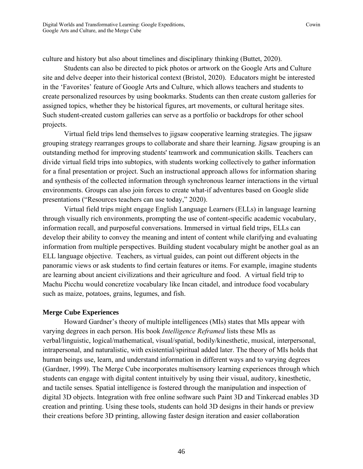culture and history but also about timelines and disciplinary thinking (Buttet, 2020).

Students can also be directed to pick photos or artwork on the Google Arts and Culture site and delve deeper into their historical context (Bristol, 2020). Educators might be interested in the 'Favorites' feature of Google Arts and Culture, which allows teachers and students to create personalized resources by using bookmarks. Students can then create custom galleries for assigned topics, whether they be historical figures, art movements, or cultural heritage sites. Such student-created custom galleries can serve as a portfolio or backdrops for other school projects.

Virtual field trips lend themselves to jigsaw cooperative learning strategies. The jigsaw grouping strategy rearranges groups to collaborate and share their learning. Jigsaw grouping is an outstanding method for improving students' teamwork and communication skills. Teachers can divide virtual field trips into subtopics, with students working collectively to gather information for a final presentation or project. Such an instructional approach allows for information sharing and synthesis of the collected information through synchronous learner interactions in the virtual environments. Groups can also join forces to create what-if adventures based on Google slide presentations ("Resources teachers can use today," 2020).

Virtual field trips might engage English Language Learners (ELLs) in language learning through visually rich environments, prompting the use of content-specific academic vocabulary, information recall, and purposeful conversations. Immersed in virtual field trips, ELLs can develop their ability to convey the meaning and intent of content while clarifying and evaluating information from multiple perspectives. Building student vocabulary might be another goal as an ELL language objective. Teachers, as virtual guides, can point out different objects in the panoramic views or ask students to find certain features or items. For example, imagine students are learning about ancient civilizations and their agriculture and food. A virtual field trip to Machu Picchu would concretize vocabulary like Incan citadel, and introduce food vocabulary such as maize, potatoes, grains, legumes, and fish.

# **Merge Cube Experiences**

Howard Gardner's theory of multiple intelligences (MIs) states that MIs appear with varying degrees in each person. His book *Intelligence Reframed* lists these MIs as verbal/linguistic, logical/mathematical, visual/spatial, bodily/kinesthetic, musical, interpersonal, intrapersonal, and naturalistic, with existential/spiritual added later. The theory of MIs holds that human beings use, learn, and understand information in different ways and to varying degrees (Gardner, 1999). The Merge Cube incorporates multisensory learning experiences through which students can engage with digital content intuitively by using their visual, auditory, kinesthetic, and tactile senses. Spatial intelligence is fostered through the manipulation and inspection of digital 3D objects. Integration with free online software such Paint 3D and Tinkercad enables 3D creation and printing. Using these tools, students can hold 3D designs in their hands or preview their creations before 3D printing, allowing faster design iteration and easier collaboration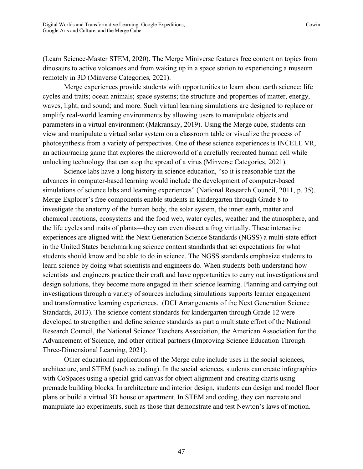(Learn Science-Master STEM, 2020). The Merge Miniverse features free content on topics from dinosaurs to active volcanoes and from waking up in a space station to experiencing a museum remotely in 3D (Minverse Categories, 2021).

Merge experiences provide students with opportunities to learn about earth science; life cycles and traits; ocean animals; space systems; the structure and properties of matter, energy, waves, light, and sound; and more. Such virtual learning simulations are designed to replace or amplify real-world learning environments by allowing users to manipulate objects and parameters in a virtual environment (Makransky, 2019). Using the Merge cube, students can view and manipulate a virtual solar system on a classroom table or visualize the process of photosynthesis from a variety of perspectives. One of these science experiences is INCELL VR, an action/racing game that explores the microworld of a carefully recreated human cell while unlocking technology that can stop the spread of a virus (Minverse Categories, 2021).

Science labs have a long history in science education, "so it is reasonable that the advances in computer-based learning would include the development of computer-based simulations of science labs and learning experiences" (National Research Council, 2011, p. 35). Merge Explorer's free components enable students in kindergarten through Grade 8 to investigate the anatomy of the human body, the solar system, the inner earth, matter and chemical reactions, ecosystems and the food web, water cycles, weather and the atmosphere, and the life cycles and traits of plants—they can even dissect a frog virtually. These interactive experiences are aligned with the Next Generation Science Standards (NGSS) a multi-state effort in the United States benchmarking science content standards that set expectations for what students should know and be able to do in science. The NGSS standards emphasize students to learn science by doing what scientists and engineers do. When students both understand how scientists and engineers practice their craft and have opportunities to carry out investigations and design solutions, they become more engaged in their science learning. Planning and carrying out investigations through a variety of sources including simulations supports learner engagement and transformative learning experiences. (DCI Arrangements of the Next Generation Science Standards, 2013). The science content standards for kindergarten through Grade 12 were developed to strengthen and define science standards as part a multistate effort of the National Research Council, the National Science Teachers Association, the American Association for the Advancement of Science, and other critical partners (Improving Science Education Through Three-Dimensional Learning, 2021).

Other educational applications of the Merge cube include uses in the social sciences, architecture, and STEM (such as coding). In the social sciences, students can create infographics with CoSpaces using a special grid canvas for object alignment and creating charts using premade building blocks. In architecture and interior design, students can design and model floor plans or build a virtual 3D house or apartment. In STEM and coding, they can recreate and manipulate lab experiments, such as those that demonstrate and test Newton's laws of motion.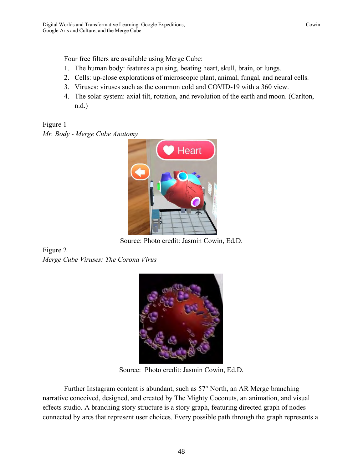Four free filters are available using Merge Cube:

- 1. The human body: features a pulsing, beating heart, skull, brain, or lungs.
- 2. Cells: up-close explorations of microscopic plant, animal, fungal, and neural cells.
- 3. Viruses: viruses such as the common cold and COVID-19 with a 360 view.
- 4. The solar system: axial tilt, rotation, and revolution of the earth and moon. (Carlton, n.d.)

Figure 1 *Mr. Body - Merge Cube Anatomy*



Source: Photo credit: Jasmin Cowin, Ed.D.

Figure 2 *Merge Cube Viruses: The Corona Virus*



Source: Photo credit: Jasmin Cowin, Ed.D.

Further Instagram content is abundant, such as 57° North, an AR Merge branching narrative conceived, designed, and created by The Mighty Coconuts, an animation, and visual effects studio. A branching story structure is a story graph, featuring directed graph of nodes connected by arcs that represent user choices. Every possible path through the graph represents a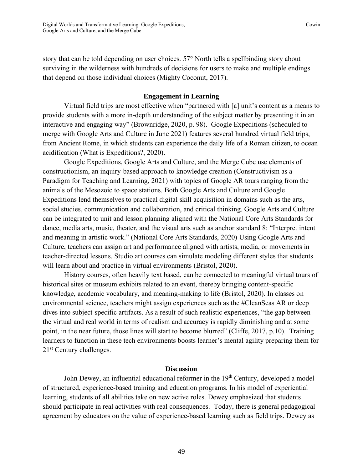story that can be told depending on user choices. 57° North tells a spellbinding story about surviving in the wilderness with hundreds of decisions for users to make and multiple endings that depend on those individual choices (Mighty Coconut, 2017).

### **Engagement in Learning**

Virtual field trips are most effective when "partnered with [a] unit's content as a means to provide students with a more in-depth understanding of the subject matter by presenting it in an interactive and engaging way" (Brownridge, 2020, p. 98). Google Expeditions (scheduled to merge with Google Arts and Culture in June 2021) features several hundred virtual field trips, from Ancient Rome, in which students can experience the daily life of a Roman citizen, to ocean acidification (What is Expeditions?, 2020).

Google Expeditions, Google Arts and Culture, and the Merge Cube use elements of constructionism, an inquiry-based approach to knowledge creation (Constructivism as a Paradigm for Teaching and Learning, 2021) with topics of Google AR tours ranging from the animals of the Mesozoic to space stations. Both Google Arts and Culture and Google Expeditions lend themselves to practical digital skill acquisition in domains such as the arts, social studies, communication and collaboration, and critical thinking. Google Arts and Culture can be integrated to unit and lesson planning aligned with the National Core Arts Standards for dance, media arts, music, theater, and the visual arts such as anchor standard 8: "Interpret intent and meaning in artistic work." (National Core Arts Standards, 2020) Using Google Arts and Culture, teachers can assign art and performance aligned with artists, media, or movements in teacher-directed lessons. Studio art courses can simulate modeling different styles that students will learn about and practice in virtual environments (Bristol, 2020).

History courses, often heavily text based, can be connected to meaningful virtual tours of historical sites or museum exhibits related to an event, thereby bringing content-specific knowledge, academic vocabulary, and meaning-making to life (Bristol, 2020). In classes on environmental science, teachers might assign experiences such as the #CleanSeas AR or deep dives into subject-specific artifacts. As a result of such realistic experiences, "the gap between the virtual and real world in terms of realism and accuracy is rapidly diminishing and at some point, in the near future, those lines will start to become blurred" (Cliffe, 2017, p.10). Training learners to function in these tech environments boosts learner's mental agility preparing them for 21<sup>st</sup> Century challenges.

### **Discussion**

John Dewey, an influential educational reformer in the 19<sup>th</sup> Century, developed a model of structured, experience-based training and education programs. In his model of experiential learning, students of all abilities take on new active roles. Dewey emphasized that students should participate in real activities with real consequences. Today, there is general pedagogical agreement by educators on the value of experience-based learning such as field trips. Dewey as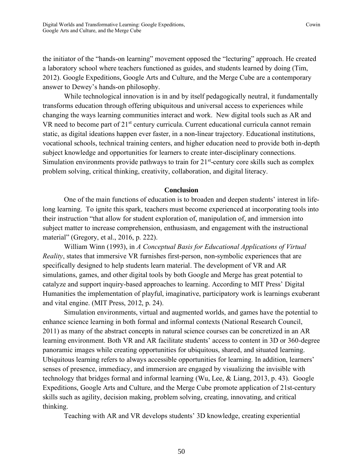the initiator of the "hands-on learning" movement opposed the "lecturing" approach. He created a laboratory school where teachers functioned as guides, and students learned by doing (Tim, 2012). Google Expeditions, Google Arts and Culture, and the Merge Cube are a contemporary answer to Dewey's hands-on philosophy.

While technological innovation is in and by itself pedagogically neutral, it fundamentally transforms education through offering ubiquitous and universal access to experiences while changing the ways learning communities interact and work. New digital tools such as AR and VR need to become part of 21<sup>st</sup> century curricula. Current educational curricula cannot remain static, as digital ideations happen ever faster, in a non-linear trajectory. Educational institutions, vocational schools, technical training centers, and higher education need to provide both in-depth subject knowledge and opportunities for learners to create inter-disciplinary connections. Simulation environments provide pathways to train for  $21<sup>st</sup>$ -century core skills such as complex problem solving, critical thinking, creativity, collaboration, and digital literacy.

#### **Conclusion**

One of the main functions of education is to broaden and deepen students' interest in lifelong learning. To ignite this spark, teachers must become experienced at incorporating tools into their instruction "that allow for student exploration of, manipulation of, and immersion into subject matter to increase comprehension, enthusiasm, and engagement with the instructional material" (Gregory, et al., 2016, p. 222).

William Winn (1993), in *A Conceptual Basis for Educational Applications of Virtual Reality*, states that immersive VR furnishes first-person, non-symbolic experiences that are specifically designed to help students learn material. The development of VR and AR simulations, games, and other digital tools by both Google and Merge has great potential to catalyze and support inquiry-based approaches to learning. According to MIT Press' Digital Humanities the implementation of playful, imaginative, participatory work is learnings exuberant and vital engine. (MIT Press, 2012, p. 24).

Simulation environments, virtual and augmented worlds, and games have the potential to enhance science learning in both formal and informal contexts (National Research Council, 2011) as many of the abstract concepts in natural science courses can be concretized in an AR learning environment. Both VR and AR facilitate students' access to content in 3D or 360-degree panoramic images while creating opportunities for ubiquitous, shared, and situated learning. Ubiquitous learning refers to always accessible opportunities for learning. In addition, learners' senses of presence, immediacy, and immersion are engaged by visualizing the invisible with technology that bridges formal and informal learning (Wu, Lee, & Liang, 2013, p. 43). Google Expeditions, Google Arts and Culture, and the Merge Cube promote application of 21st-century skills such as agility, decision making, problem solving, creating, innovating, and critical thinking.

Teaching with AR and VR develops students' 3D knowledge, creating experiential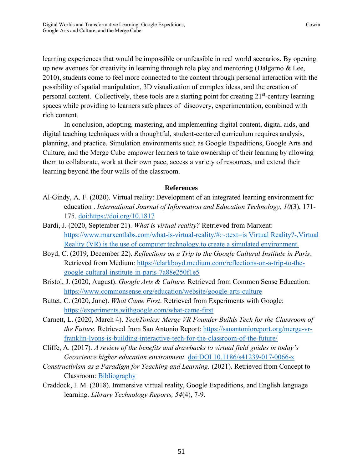learning experiences that would be impossible or unfeasible in real world scenarios. By opening up new avenues for creativity in learning through role play and mentoring (Dalgarno & Lee, 2010), students come to feel more connected to the content through personal interaction with the possibility of spatial manipulation, 3D visualization of complex ideas, and the creation of personal content. Collectively, these tools are a starting point for creating 21<sup>st</sup>-century learning spaces while providing to learners safe places of discovery, experimentation, combined with rich content.

In conclusion, adopting, mastering, and implementing digital content, digital aids, and digital teaching techniques with a thoughtful, student-centered curriculum requires analysis, planning, and practice. Simulation environments such as Google Expeditions, Google Arts and Culture, and the Merge Cube empower learners to take ownership of their learning by allowing them to collaborate, work at their own pace, access a variety of resources, and extend their learning beyond the four walls of the classroom.

#### **References**

- Al-Gindy, A. F. (2020). Virtual reality: Development of an integrated learning environment for education . *International Journal of Information and Education Technology, 10*(3), 171- 175. doi:https://doi.org/10.1817
- Bardi, J. (2020, September 21). *What is virtual reality?* Retrieved from Marxent: https://www.marxentlabs.com/what-is-virtual-reality/#:~:text=is Virtual Reality?-,Virtual Reality (VR) is the use of computer technology,to create a simulated environment.
- Boyd, C. (2019, December 22). *Reflections on a Trip to the Google Cultural Institute in Paris*. Retrieved from Medium: https://clarkboyd.medium.com/reflections-on-a-trip-to-thegoogle-cultural-institute-in-paris-7a88e250f1e5
- Bristol, J. (2020, August). *Google Arts & Culture*. Retrieved from Common Sense Education: https://www.commonsense.org/education/website/google-arts-culture
- Buttet, C. (2020, June). *What Came First*. Retrieved from Experiments with Google: https://experiments.withgoogle.com/what-came-first
- Carnett, L. (2020, March 4). *TechTonics: Merge VR Founder Builds Tech for the Classroom of the Future*. Retrieved from San Antonio Report: https://sanantonioreport.org/merge-vrfranklin-lyons-is-building-interactive-tech-for-the-classroom-of-the-future/
- Cliffe, A. (2017). *A review of the benefits and drawbacks to virtual field guides in today's Geoscience higher education environment.* doi:DOI 10.1186/s41239-017-0066-x
- *Constructivism as a Paradigm for Teaching and Learning.* (2021). Retrieved from Concept to Classroom: Bibliography
- Craddock, I. M. (2018). Immersive virtual reality, Google Expeditions, and English language learning. *Library Technology Reports, 54*(4), 7-9.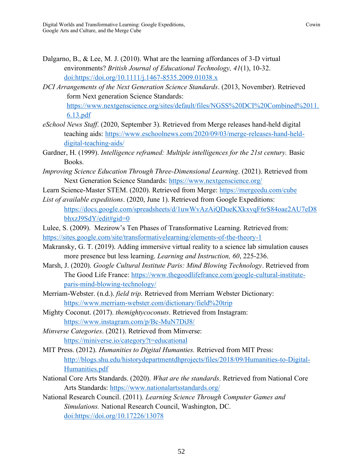Dalgarno, B., & Lee, M. J. (2010). What are the learning affordances of 3-D virtual environments? *British Journal of Educational Technology, 41*(1), 10-32. doi:https://doi.org/10.1111/j.1467-8535.2009.01038.x

- *DCI Arrangements of the Next Generation Science Standards*. (2013, November). Retrieved form Next generation Science Standards: https://www.nextgenscience.org/sites/default/files/NGSS%20DCI%20Combined%2011. 6.13.pdf
- *eSchool News Staff*. (2020, September 3). Retrieved from Merge releases hand-held digital teaching aids: https://www.eschoolnews.com/2020/09/03/merge-releases-hand-helddigital-teaching-aids/
- Gardner, H. (1999). *Intelligence reframed: Multiple intelligences for the 21st century.* Basic Books.
- *Improving Science Education Through Three-Dimensional Learning*. (2021). Retrieved from Next Generation Science Standards: https://www.nextgenscience.org/
- Learn Science-Master STEM. (2020). Retrieved from Merge: https://mergeedu.com/cube
- *List of available expeditions*. (2020, June 1). Retrieved from Google Expeditions: https://docs.google.com/spreadsheets/d/1uwWvAzAiQDueKXkxvqF6rS84oae2AU7eD8 bhxzJ9SdY/edit#gid=0
- Lulee, S. (2009). Mezirow's Ten Phases of Transformative Learning. Retrieved from: https://sites.google.com/site/transformativelearning/elements-of-the-theory-1
- Makransky, G. T. (2019). Adding immersive virtual reality to a science lab simulation causes more presence but less learning. *Learning and Instruction, 60*, 225-236.
- Marsh, J. (2020). *Google Cultural Institute Paris: Mind Blowing Technology*. Retrieved from The Good Life France: https://www.thegoodlifefrance.com/google-cultural-instituteparis-mind-blowing-technology/
- Merriam-Webster. (n.d.). *field trip*. Retrieved from Merriam Webster Dictionary: https://www.merriam-webster.com/dictionary/field%20trip
- Mighty Coconut. (2017). *themightycoconuts*. Retrieved from Instagram: https://www.instagram.com/p/Bc-MuN7DiJ8/
- *Minverse Categories*. (2021). Retrieved from Minverse: https://miniverse.io/category?t=educational
- MIT Press. (2012). *Humanities to Digital Humanties.* Retrieved from MIT Press: http://blogs.shu.edu/historydepartmentdhprojects/files/2018/09/Humanities-to-Digital-Humanities.pdf
- National Core Arts Standards. (2020). *What are the standards*. Retrieved from National Core Arts Standards: https://www.nationalartsstandards.org/
- National Research Council. (2011). *Learning Science Through Computer Games and Simulations.* National Research Council, Washington, DC. doi:https://doi.org/10.17226/13078